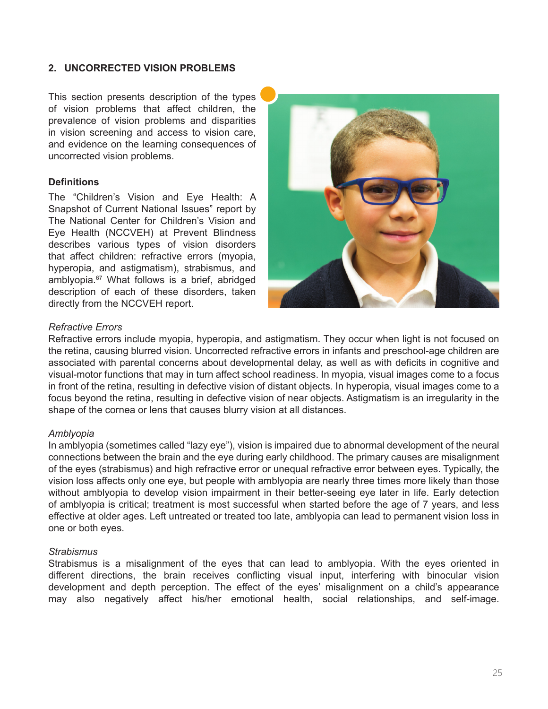### **2. UNCORRECTED VISION PROBLEMS**

This section presents description of the types of vision problems that affect children, the prevalence of vision problems and disparities in vision screening and access to vision care, and evidence on the learning consequences of uncorrected vision problems.

### **Definitions**

The "Children's Vision and Eye Health: A Snapshot of Current National Issues" report by The National Center for Children's Vision and Eye Health (NCCVEH) at Prevent Blindness describes various types of vision disorders that affect children: refractive errors (myopia, hyperopia, and astigmatism), strabismus, and amblyopia.<sup>67</sup> What follows is a brief, abridged description of each of these disorders, taken directly from the NCCVEH report.



### *Refractive Errors*

Refractive errors include myopia, hyperopia, and astigmatism. They occur when light is not focused on the retina, causing blurred vision. Uncorrected refractive errors in infants and preschool-age children are associated with parental concerns about developmental delay, as well as with deficits in cognitive and visual-motor functions that may in turn affect school readiness. In myopia, visual images come to a focus in front of the retina, resulting in defective vision of distant objects. In hyperopia, visual images come to a focus beyond the retina, resulting in defective vision of near objects. Astigmatism is an irregularity in the shape of the cornea or lens that causes blurry vision at all distances.

#### *Amblyopia*

In amblyopia (sometimes called "lazy eye"), vision is impaired due to abnormal development of the neural connections between the brain and the eye during early childhood. The primary causes are misalignment of the eyes (strabismus) and high refractive error or unequal refractive error between eyes. Typically, the vision loss affects only one eye, but people with amblyopia are nearly three times more likely than those without amblyopia to develop vision impairment in their better-seeing eye later in life. Early detection of amblyopia is critical; treatment is most successful when started before the age of 7 years, and less effective at older ages. Left untreated or treated too late, amblyopia can lead to permanent vision loss in one or both eyes.

#### *Strabismus*

Strabismus is a misalignment of the eyes that can lead to amblyopia. With the eyes oriented in different directions, the brain receives conflicting visual input, interfering with binocular vision development and depth perception. The effect of the eyes' misalignment on a child's appearance may also negatively affect his/her emotional health, social relationships, and self-image.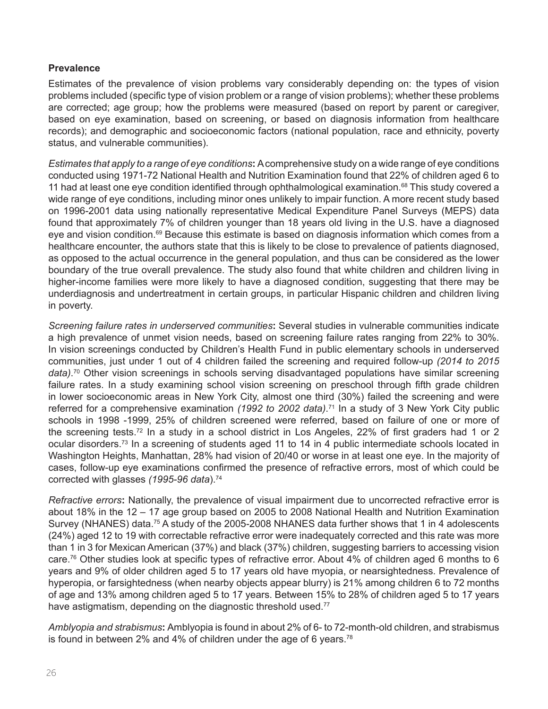# **Prevalence**

Estimates of the prevalence of vision problems vary considerably depending on: the types of vision problems included (specific type of vision problem or a range of vision problems); whether these problems are corrected; age group; how the problems were measured (based on report by parent or caregiver, based on eye examination, based on screening, or based on diagnosis information from healthcare records); and demographic and socioeconomic factors (national population, race and ethnicity, poverty status, and vulnerable communities).

*Estimates that apply to a range of eye conditions***:** A comprehensive study on a wide range of eye conditions conducted using 1971-72 National Health and Nutrition Examination found that 22% of children aged 6 to 11 had at least one eye condition identified through ophthalmological examination.<sup>68</sup> This study covered a wide range of eye conditions, including minor ones unlikely to impair function. A more recent study based on 1996-2001 data using nationally representative Medical Expenditure Panel Surveys (MEPS) data found that approximately 7% of children younger than 18 years old living in the U.S. have a diagnosed eye and vision condition.<sup>69</sup> Because this estimate is based on diagnosis information which comes from a healthcare encounter, the authors state that this is likely to be close to prevalence of patients diagnosed, as opposed to the actual occurrence in the general population, and thus can be considered as the lower boundary of the true overall prevalence. The study also found that white children and children living in higher-income families were more likely to have a diagnosed condition, suggesting that there may be underdiagnosis and undertreatment in certain groups, in particular Hispanic children and children living in poverty.

*Screening failure rates in underserved communities***:** Several studies in vulnerable communities indicate a high prevalence of unmet vision needs, based on screening failure rates ranging from 22% to 30%. In vision screenings conducted by Children's Health Fund in public elementary schools in underserved communities, just under 1 out of 4 children failed the screening and required follow-up *(2014 to 2015 data)*. <sup>70</sup> Other vision screenings in schools serving disadvantaged populations have similar screening failure rates. In a study examining school vision screening on preschool through fifth grade children in lower socioeconomic areas in New York City, almost one third (30%) failed the screening and were referred for a comprehensive examination *(1992 to 2002 data)*. <sup>71</sup> In a study of 3 New York City public schools in 1998 -1999, 25% of children screened were referred, based on failure of one or more of the screening tests.72 In a study in a school district in Los Angeles, 22% of first graders had 1 or 2 ocular disorders.73 In a screening of students aged 11 to 14 in 4 public intermediate schools located in Washington Heights, Manhattan, 28% had vision of 20/40 or worse in at least one eye. In the majority of cases, follow-up eye examinations confirmed the presence of refractive errors, most of which could be corrected with glasses *(1995-96 data*).<sup>74</sup>

*Refractive errors***:** Nationally, the prevalence of visual impairment due to uncorrected refractive error is about 18% in the 12 – 17 age group based on 2005 to 2008 National Health and Nutrition Examination Survey (NHANES) data.<sup>75</sup> A study of the 2005-2008 NHANES data further shows that 1 in 4 adolescents (24%) aged 12 to 19 with correctable refractive error were inadequately corrected and this rate was more than 1 in 3 for Mexican American (37%) and black (37%) children, suggesting barriers to accessing vision care.76 Other studies look at specific types of refractive error. About 4% of children aged 6 months to 6 years and 9% of older children aged 5 to 17 years old have myopia, or nearsightedness. Prevalence of hyperopia, or farsightedness (when nearby objects appear blurry) is 21% among children 6 to 72 months of age and 13% among children aged 5 to 17 years. Between 15% to 28% of children aged 5 to 17 years have astigmatism, depending on the diagnostic threshold used.<sup>77</sup>

*Amblyopia and strabismus***:** Amblyopia is found in about 2% of 6- to 72-month-old children, and strabismus is found in between 2% and 4% of children under the age of 6 years.<sup>78</sup>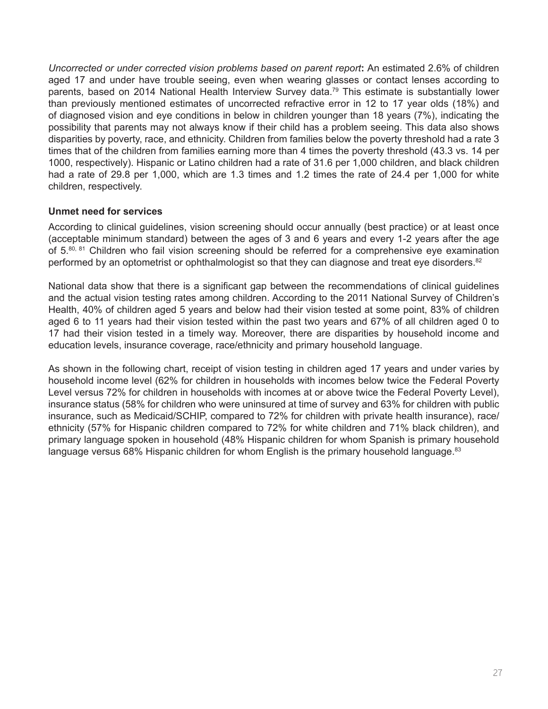*Uncorrected or under corrected vision problems based on parent report***:** An estimated 2.6% of children aged 17 and under have trouble seeing, even when wearing glasses or contact lenses according to parents, based on 2014 National Health Interview Survey data.<sup>79</sup> This estimate is substantially lower than previously mentioned estimates of uncorrected refractive error in 12 to 17 year olds (18%) and of diagnosed vision and eye conditions in below in children younger than 18 years (7%), indicating the possibility that parents may not always know if their child has a problem seeing. This data also shows disparities by poverty, race, and ethnicity. Children from families below the poverty threshold had a rate 3 times that of the children from families earning more than 4 times the poverty threshold (43.3 vs. 14 per 1000, respectively). Hispanic or Latino children had a rate of 31.6 per 1,000 children, and black children had a rate of 29.8 per 1,000, which are 1.3 times and 1.2 times the rate of 24.4 per 1,000 for white children, respectively.

# **Unmet need for services**

According to clinical guidelines, vision screening should occur annually (best practice) or at least once (acceptable minimum standard) between the ages of 3 and 6 years and every 1-2 years after the age of 5.80, 81 Children who fail vision screening should be referred for a comprehensive eye examination performed by an optometrist or ophthalmologist so that they can diagnose and treat eye disorders.<sup>82</sup>

National data show that there is a significant gap between the recommendations of clinical guidelines and the actual vision testing rates among children. According to the 2011 National Survey of Children's Health, 40% of children aged 5 years and below had their vision tested at some point, 83% of children aged 6 to 11 years had their vision tested within the past two years and 67% of all children aged 0 to 17 had their vision tested in a timely way. Moreover, there are disparities by household income and education levels, insurance coverage, race/ethnicity and primary household language.

As shown in the following chart, receipt of vision testing in children aged 17 years and under varies by household income level (62% for children in households with incomes below twice the Federal Poverty Level versus 72% for children in households with incomes at or above twice the Federal Poverty Level), insurance status (58% for children who were uninsured at time of survey and 63% for children with public insurance, such as Medicaid/SCHIP, compared to 72% for children with private health insurance), race/ ethnicity (57% for Hispanic children compared to 72% for white children and 71% black children), and primary language spoken in household (48% Hispanic children for whom Spanish is primary household language versus 68% Hispanic children for whom English is the primary household language.<sup>83</sup>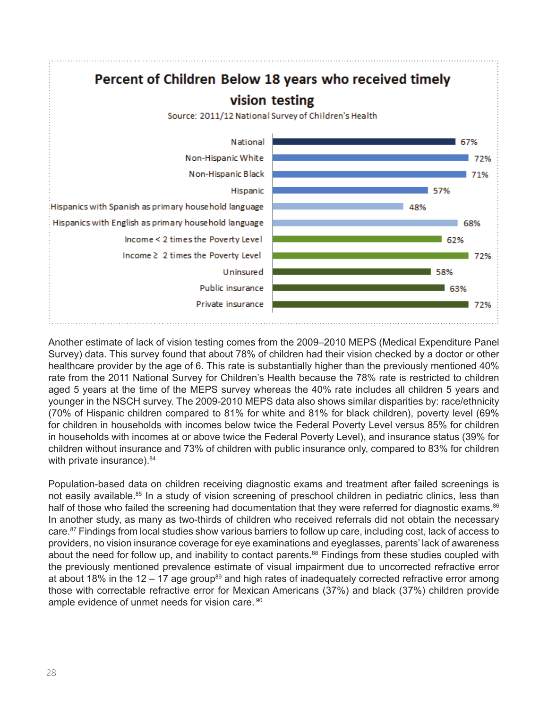

Another estimate of lack of vision testing comes from the 2009–2010 MEPS (Medical Expenditure Panel Survey) data. This survey found that about 78% of children had their vision checked by a doctor or other healthcare provider by the age of 6. This rate is substantially higher than the previously mentioned 40% rate from the 2011 National Survey for Children's Health because the 78% rate is restricted to children aged 5 years at the time of the MEPS survey whereas the 40% rate includes all children 5 years and younger in the NSCH survey. The 2009-2010 MEPS data also shows similar disparities by: race/ethnicity (70% of Hispanic children compared to 81% for white and 81% for black children), poverty level (69% for children in households with incomes below twice the Federal Poverty Level versus 85% for children in households with incomes at or above twice the Federal Poverty Level), and insurance status (39% for children without insurance and 73% of children with public insurance only, compared to 83% for children with private insurance).<sup>84</sup>

Population-based data on children receiving diagnostic exams and treatment after failed screenings is not easily available.<sup>85</sup> In a study of vision screening of preschool children in pediatric clinics, less than half of those who failed the screening had documentation that they were referred for diagnostic exams.<sup>86</sup> In another study, as many as two-thirds of children who received referrals did not obtain the necessary care.<sup>87</sup> Findings from local studies show various barriers to follow up care, including cost, lack of access to providers, no vision insurance coverage for eye examinations and eyeglasses, parents' lack of awareness about the need for follow up, and inability to contact parents.<sup>88</sup> Findings from these studies coupled with the previously mentioned prevalence estimate of visual impairment due to uncorrected refractive error at about 18% in the 12 – 17 age group<sup>89</sup> and high rates of inadequately corrected refractive error among those with correctable refractive error for Mexican Americans (37%) and black (37%) children provide ample evidence of unmet needs for vision care. <sup>90</sup>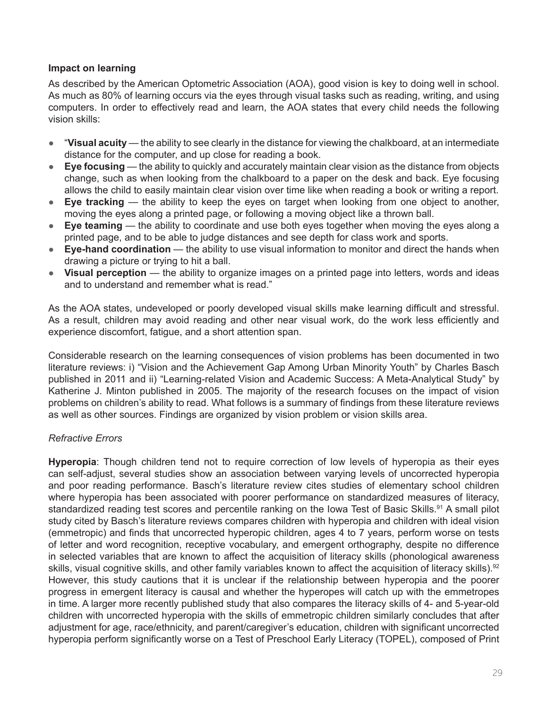# **Impact on learning**

As described by the American Optometric Association (AOA), good vision is key to doing well in school. As much as 80% of learning occurs via the eyes through visual tasks such as reading, writing, and using computers. In order to effectively read and learn, the AOA states that every child needs the following vision skills:

- "**Visual acuity** the ability to see clearly in the distance for viewing the chalkboard, at an intermediate distance for the computer, and up close for reading a book.
- **Eye focusing** the ability to quickly and accurately maintain clear vision as the distance from objects change, such as when looking from the chalkboard to a paper on the desk and back. Eye focusing allows the child to easily maintain clear vision over time like when reading a book or writing a report.
- **Eye tracking** the ability to keep the eyes on target when looking from one object to another, moving the eyes along a printed page, or following a moving object like a thrown ball.
- **Eye teaming** the ability to coordinate and use both eyes together when moving the eyes along a printed page, and to be able to judge distances and see depth for class work and sports.
- **Eye-hand coordination** the ability to use visual information to monitor and direct the hands when drawing a picture or trying to hit a ball.
- **Visual perception** the ability to organize images on a printed page into letters, words and ideas and to understand and remember what is read."

As the AOA states, undeveloped or poorly developed visual skills make learning difficult and stressful. As a result, children may avoid reading and other near visual work, do the work less efficiently and experience discomfort, fatigue, and a short attention span.

Considerable research on the learning consequences of vision problems has been documented in two literature reviews: i) "Vision and the Achievement Gap Among Urban Minority Youth" by Charles Basch published in 2011 and ii) "Learning-related Vision and Academic Success: A Meta-Analytical Study" by Katherine J. Minton published in 2005. The majority of the research focuses on the impact of vision problems on children's ability to read. What follows is a summary of findings from these literature reviews as well as other sources. Findings are organized by vision problem or vision skills area.

# *Refractive Errors*

**Hyperopia**: Though children tend not to require correction of low levels of hyperopia as their eyes can self-adjust, several studies show an association between varying levels of uncorrected hyperopia and poor reading performance. Basch's literature review cites studies of elementary school children where hyperopia has been associated with poorer performance on standardized measures of literacy, standardized reading test scores and percentile ranking on the Iowa Test of Basic Skills.<sup>91</sup> A small pilot study cited by Basch's literature reviews compares children with hyperopia and children with ideal vision (emmetropic) and finds that uncorrected hyperopic children, ages 4 to 7 years, perform worse on tests of letter and word recognition, receptive vocabulary, and emergent orthography, despite no difference in selected variables that are known to affect the acquisition of literacy skills (phonological awareness skills, visual cognitive skills, and other family variables known to affect the acquisition of literacy skills).<sup>92</sup> However, this study cautions that it is unclear if the relationship between hyperopia and the poorer progress in emergent literacy is causal and whether the hyperopes will catch up with the emmetropes in time. A larger more recently published study that also compares the literacy skills of 4- and 5-year-old children with uncorrected hyperopia with the skills of emmetropic children similarly concludes that after adjustment for age, race/ethnicity, and parent/caregiver's education, children with significant uncorrected hyperopia perform significantly worse on a Test of Preschool Early Literacy (TOPEL), composed of Print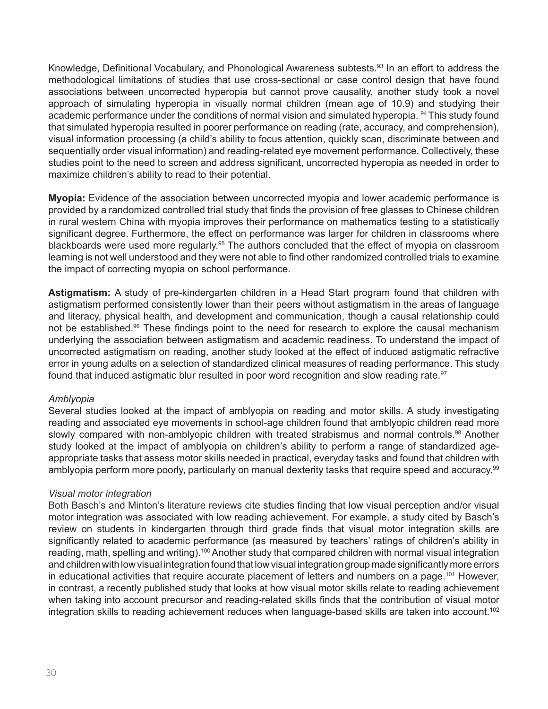Knowledge, Definitional Vocabulary, and Phonological Awareness subtests.<sup>93</sup> In an effort to address the methodological limitations of studies that use cross-sectional or case control design that have found associations between uncorrected hyperopia but cannot prove causality, another study took a novel approach of simulating hyperopia in visually normal children (mean age of 10.9) and studying their academic performance under the conditions of normal vision and simulated hyperopia. <sup>94</sup> This study found that simulated hyperopia resulted in poorer performance on reading (rate, accuracy, and comprehension), visual information processing (a child's ability to focus attention, quickly scan, discriminate between and sequentially order visual information) and reading-related eye movement performance. Collectively, these studies point to the need to screen and address significant, uncorrected hyperopia as needed in order to maximize children's ability to read to their potential.

**Myopia:** Evidence of the association between uncorrected myopia and lower academic performance is provided by a randomized controlled trial study that finds the provision of free glasses to Chinese children in rural western China with myopia improves their performance on mathematics testing to a statistically significant degree. Furthermore, the effect on performance was larger for children in classrooms where blackboards were used more regularly.<sup>95</sup> The authors concluded that the effect of myopia on classroom learning is not well understood and they were not able to find other randomized controlled trials to examine the impact of correcting myopia on school performance.

**Astigmatism:** A study of pre-kindergarten children in a Head Start program found that children with astigmatism performed consistently lower than their peers without astigmatism in the areas of language and literacy, physical health, and development and communication, though a causal relationship could not be established.<sup>96</sup> These findings point to the need for research to explore the causal mechanism underlying the association between astigmatism and academic readiness. To understand the impact of uncorrected astigmatism on reading, another study looked at the effect of induced astigmatic refractive error in young adults on a selection of standardized clinical measures of reading performance. This study found that induced astigmatic blur resulted in poor word recognition and slow reading rate.<sup>97</sup>

# *Amblyopia*

Several studies looked at the impact of amblyopia on reading and motor skills. A study investigating reading and associated eye movements in school-age children found that amblyopic children read more slowly compared with non-amblyopic children with treated strabismus and normal controls.<sup>98</sup> Another study looked at the impact of amblyopia on children's ability to perform a range of standardized ageappropriate tasks that assess motor skills needed in practical, everyday tasks and found that children with amblyopia perform more poorly, particularly on manual dexterity tasks that require speed and accuracy.<sup>99</sup>

#### *Visual motor integration*

Both Basch's and Minton's literature reviews cite studies finding that low visual perception and/or visual motor integration was associated with low reading achievement. For example, a study cited by Basch's review on students in kindergarten through third grade finds that visual motor integration skills are significantly related to academic performance (as measured by teachers' ratings of children's ability in reading, math, spelling and writing).<sup>100</sup> Another study that compared children with normal visual integration and children with low visual integration found that low visual integration group made significantly more errors in educational activities that require accurate placement of letters and numbers on a page.<sup>101</sup> However, in contrast, a recently published study that looks at how visual motor skills relate to reading achievement when taking into account precursor and reading-related skills finds that the contribution of visual motor integration skills to reading achievement reduces when language-based skills are taken into account.<sup>102</sup>